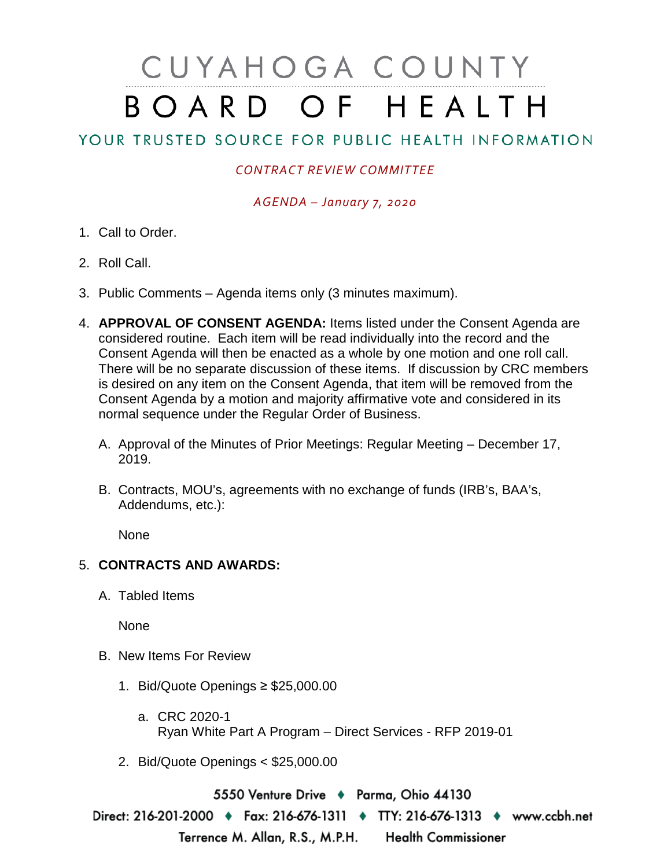## CUYAHOGA COUNTY BOARD OF HEALTH

## YOUR TRUSTED SOURCE FOR PUBLIC HEALTH INFORMATION

## *CONTRACT REVIEW COMMITTEE*

*AGENDA – January 7, 2020*

- 1. Call to Order.
- 2. Roll Call.
- 3. Public Comments Agenda items only (3 minutes maximum).
- 4. **APPROVAL OF CONSENT AGENDA:** Items listed under the Consent Agenda are considered routine. Each item will be read individually into the record and the Consent Agenda will then be enacted as a whole by one motion and one roll call. There will be no separate discussion of these items. If discussion by CRC members is desired on any item on the Consent Agenda, that item will be removed from the Consent Agenda by a motion and majority affirmative vote and considered in its normal sequence under the Regular Order of Business.
	- A. Approval of the Minutes of Prior Meetings: Regular Meeting December 17, 2019.
	- B. Contracts, MOU's, agreements with no exchange of funds (IRB's, BAA's, Addendums, etc.):

None

## 5. **CONTRACTS AND AWARDS:**

A. Tabled Items

None

- B. New Items For Review
	- 1. Bid/Quote Openings ≥ \$25,000.00
		- a. CRC 2020-1 Ryan White Part A Program – Direct Services - RFP 2019-01
	- 2. Bid/Quote Openings < \$25,000.00

5550 Venture Drive + Parma, Ohio 44130

Direct: 216-201-2000 • Fax: 216-676-1311 • TTY: 216-676-1313 • www.ccbh.net Terrence M. Allan, R.S., M.P.H. Health Commissioner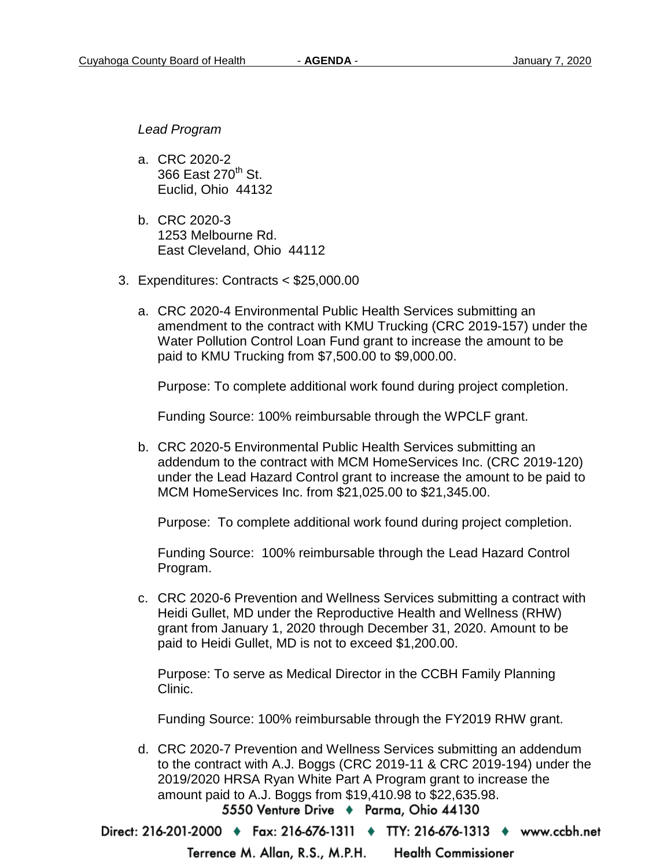*Lead Program* 

- a. CRC 2020-2 366 East 270<sup>th</sup> St. Euclid, Ohio 44132
- b. CRC 2020-3 1253 Melbourne Rd. East Cleveland, Ohio 44112
- 3. Expenditures: Contracts < \$25,000.00
	- a. CRC 2020-4 Environmental Public Health Services submitting an amendment to the contract with KMU Trucking (CRC 2019-157) under the Water Pollution Control Loan Fund grant to increase the amount to be paid to KMU Trucking from \$7,500.00 to \$9,000.00.

Purpose: To complete additional work found during project completion.

Funding Source: 100% reimbursable through the WPCLF grant.

b. CRC 2020-5 Environmental Public Health Services submitting an addendum to the contract with MCM HomeServices Inc. (CRC 2019-120) under the Lead Hazard Control grant to increase the amount to be paid to MCM HomeServices Inc. from \$21,025.00 to \$21,345.00.

Purpose: To complete additional work found during project completion.

Funding Source: 100% reimbursable through the Lead Hazard Control Program.

c. CRC 2020-6 Prevention and Wellness Services submitting a contract with Heidi Gullet, MD under the Reproductive Health and Wellness (RHW) grant from January 1, 2020 through December 31, 2020. Amount to be paid to Heidi Gullet, MD is not to exceed \$1,200.00.

Purpose: To serve as Medical Director in the CCBH Family Planning Clinic.

Funding Source: 100% reimbursable through the FY2019 RHW grant.

d. CRC 2020-7 Prevention and Wellness Services submitting an addendum to the contract with A.J. Boggs (CRC 2019-11 & CRC 2019-194) under the 2019/2020 HRSA Ryan White Part A Program grant to increase the amount paid to A.J. Boggs from \$19,410.98 to \$22,635.98. 5550 Venture Drive + Parma, Ohio 44130

Direct: 216-201-2000 • Fax: 216-676-1311 • TTY: 216-676-1313 • www.ccbh.net

**Health Commissioner** Terrence M. Allan, R.S., M.P.H.